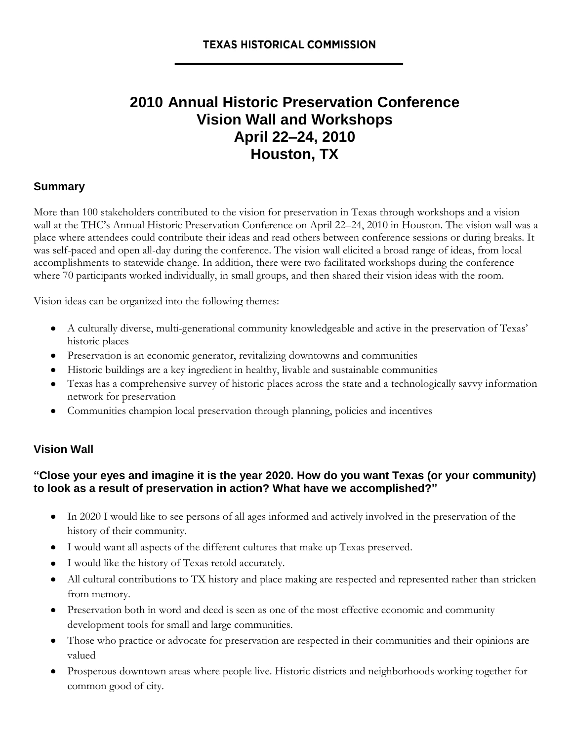# **2010 Annual Historic Preservation Conference Vision Wall and Workshops April 22–24, 2010 Houston, TX**

#### **Summary**

More than 100 stakeholders contributed to the [vision](http://texasplan.wordpress.com/our-process/2020-preservation-vision) for preservation in Texas through workshops and a vision wall at the THC's Annual Historic Preservation Conference on April 22–24, 2010 in Houston. The vision wall was a place where attendees could contribute their ideas and read others between conference sessions or during breaks. It was self-paced and open all-day during the conference. The vision wall elicited a broad range of ideas, from local accomplishments to statewide change. In addition, there were two facilitated workshops during the conference where 70 participants worked individually, in small groups, and then shared their vision ideas with the room.

Vision ideas can be organized into the following themes:

- A culturally diverse, multi-generational community knowledgeable and active in the preservation of Texas' historic places
- Preservation is an economic generator, revitalizing downtowns and communities
- Historic buildings are a key ingredient in healthy, livable and sustainable communities
- Texas has a comprehensive survey of historic places across the state and a technologically savvy information network for preservation
- Communities champion local preservation through planning, policies and incentives

#### **Vision Wall**

#### **"Close your eyes and imagine it is the year 2020. How do you want Texas (or your community) to look as a result of preservation in action? What have we accomplished?"**

- In 2020 I would like to see persons of all ages informed and actively involved in the preservation of the history of their community.
- I would want all aspects of the different cultures that make up Texas preserved.
- I would like the history of Texas retold accurately.
- All cultural contributions to TX history and place making are respected and represented rather than stricken from memory.
- Preservation both in word and deed is seen as one of the most effective economic and community development tools for small and large communities.
- Those who practice or advocate for preservation are respected in their communities and their opinions are valued
- Prosperous downtown areas where people live. Historic districts and neighborhoods working together for common good of city.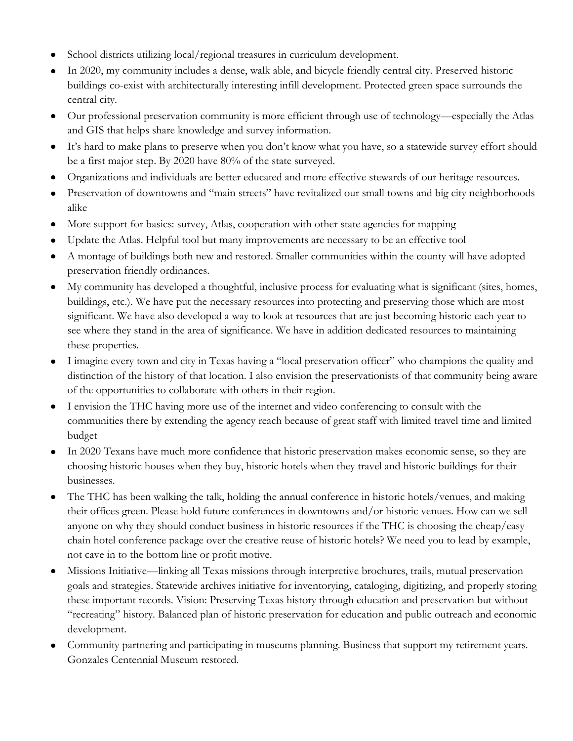- School districts utilizing local/regional treasures in curriculum development.
- In 2020, my community includes a dense, walk able, and bicycle friendly central city. Preserved historic buildings co-exist with architecturally interesting infill development. Protected green space surrounds the central city.
- Our professional preservation community is more efficient through use of technology—especially the Atlas and GIS that helps share knowledge and survey information.
- It's hard to make plans to preserve when you don't know what you have, so a statewide survey effort should be a first major step. By 2020 have 80% of the state surveyed.
- Organizations and individuals are better educated and more effective stewards of our heritage resources.
- Preservation of downtowns and "main streets" have revitalized our small towns and big city neighborhoods  $\bullet$ alike
- More support for basics: survey, Atlas, cooperation with other state agencies for mapping  $\bullet$
- Update the Atlas. Helpful tool but many improvements are necessary to be an effective tool
- A montage of buildings both new and restored. Smaller communities within the county will have adopted preservation friendly ordinances.
- My community has developed a thoughtful, inclusive process for evaluating what is significant (sites, homes, buildings, etc.). We have put the necessary resources into protecting and preserving those which are most significant. We have also developed a way to look at resources that are just becoming historic each year to see where they stand in the area of significance. We have in addition dedicated resources to maintaining these properties.
- I imagine every town and city in Texas having a "local preservation officer" who champions the quality and  $\bullet$ distinction of the history of that location. I also envision the preservationists of that community being aware of the opportunities to collaborate with others in their region.
- I envision the THC having more use of the internet and video conferencing to consult with the communities there by extending the agency reach because of great staff with limited travel time and limited budget
- $\bullet$ In 2020 Texans have much more confidence that historic preservation makes economic sense, so they are choosing historic houses when they buy, historic hotels when they travel and historic buildings for their businesses.
- The THC has been walking the talk, holding the annual conference in historic hotels/venues, and making their offices green. Please hold future conferences in downtowns and/or historic venues. How can we sell anyone on why they should conduct business in historic resources if the THC is choosing the cheap/easy chain hotel conference package over the creative reuse of historic hotels? We need you to lead by example, not cave in to the bottom line or profit motive.
- Missions Initiative—linking all Texas missions through interpretive brochures, trails, mutual preservation  $\bullet$ goals and strategies. Statewide archives initiative for inventorying, cataloging, digitizing, and properly storing these important records. Vision: Preserving Texas history through education and preservation but without ―recreating‖ history. Balanced plan of historic preservation for education and public outreach and economic development.
- Community partnering and participating in museums planning. Business that support my retirement years. Gonzales Centennial Museum restored.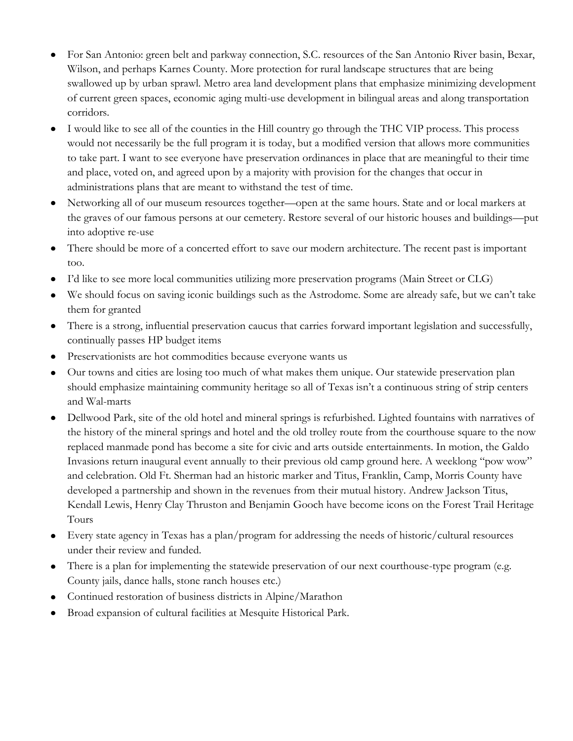- For San Antonio: green belt and parkway connection, S.C. resources of the San Antonio River basin, Bexar, Wilson, and perhaps Karnes County. More protection for rural landscape structures that are being swallowed up by urban sprawl. Metro area land development plans that emphasize minimizing development of current green spaces, economic aging multi-use development in bilingual areas and along transportation corridors.
- I would like to see all of the counties in the Hill country go through the THC VIP process. This process would not necessarily be the full program it is today, but a modified version that allows more communities to take part. I want to see everyone have preservation ordinances in place that are meaningful to their time and place, voted on, and agreed upon by a majority with provision for the changes that occur in administrations plans that are meant to withstand the test of time.
- Networking all of our museum resources together—open at the same hours. State and or local markers at  $\bullet$ the graves of our famous persons at our cemetery. Restore several of our historic houses and buildings—put into adoptive re-use
- There should be more of a concerted effort to save our modern architecture. The recent past is important too.
- I'd like to see more local communities utilizing more preservation programs (Main Street or CLG)
- We should focus on saving iconic buildings such as the Astrodome. Some are already safe, but we can't take them for granted
- There is a strong, influential preservation caucus that carries forward important legislation and successfully, continually passes HP budget items
- Preservationists are hot commodities because everyone wants us
- Our towns and cities are losing too much of what makes them unique. Our statewide preservation plan  $\bullet$ should emphasize maintaining community heritage so all of Texas isn't a continuous string of strip centers and Wal-marts
- Dellwood Park, site of the old hotel and mineral springs is refurbished. Lighted fountains with narratives of the history of the mineral springs and hotel and the old trolley route from the courthouse square to the now replaced manmade pond has become a site for civic and arts outside entertainments. In motion, the Galdo Invasions return inaugural event annually to their previous old camp ground here. A weeklong "pow wow" and celebration. Old Ft. Sherman had an historic marker and Titus, Franklin, Camp, Morris County have developed a partnership and shown in the revenues from their mutual history. Andrew Jackson Titus, Kendall Lewis, Henry Clay Thruston and Benjamin Gooch have become icons on the Forest Trail Heritage Tours
- Every state agency in Texas has a plan/program for addressing the needs of historic/cultural resources under their review and funded.
- There is a plan for implementing the statewide preservation of our next courthouse-type program (e.g. County jails, dance halls, stone ranch houses etc.)
- Continued restoration of business districts in Alpine/Marathon
- Broad expansion of cultural facilities at Mesquite Historical Park.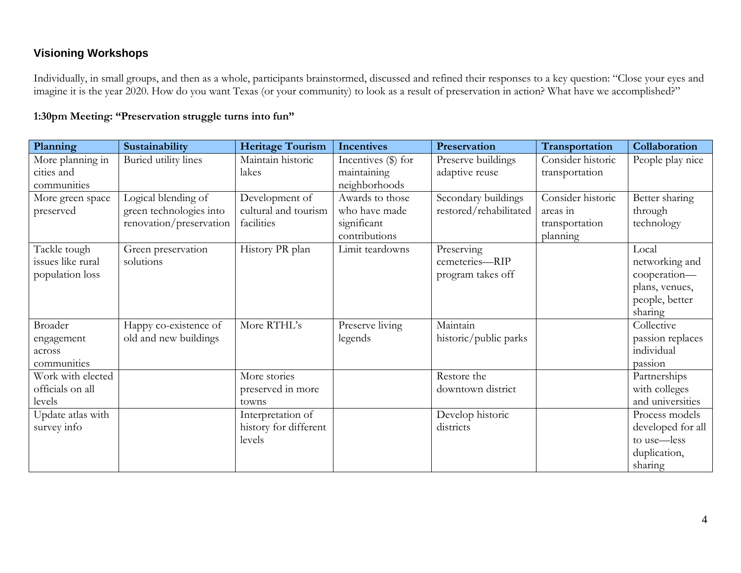## **Visioning Workshops**

Individually, in small groups, and then as a whole, participants brainstormed, discussed and refined their responses to a key question: "Close your eyes and imagine it is the year 2020. How do you want Texas (or your community) to look as a result of preservation in action? What have we accomplished?"

### **1:30pm Meeting: "Preservation struggle turns into fun"**

| Planning          | Sustainability          | <b>Heritage Tourism</b> | <b>Incentives</b>     | Preservation           | Transportation    | Collaboration     |
|-------------------|-------------------------|-------------------------|-----------------------|------------------------|-------------------|-------------------|
| More planning in  | Buried utility lines    | Maintain historic       | Incentives $(\$)$ for | Preserve buildings     | Consider historic | People play nice  |
| cities and        |                         | lakes                   | maintaining           | adaptive reuse         | transportation    |                   |
| communities       |                         |                         | neighborhoods         |                        |                   |                   |
| More green space  | Logical blending of     | Development of          | Awards to those       | Secondary buildings    | Consider historic | Better sharing    |
| preserved         | green technologies into | cultural and tourism    | who have made         | restored/rehabilitated | areas in          | through           |
|                   | renovation/preservation | facilities              | significant           |                        | transportation    | technology        |
|                   |                         |                         | contributions         |                        | planning          |                   |
| Tackle tough      | Green preservation      | History PR plan         | Limit teardowns       | Preserving             |                   | Local             |
| issues like rural | solutions               |                         |                       | cemeteries-RIP         |                   | networking and    |
| population loss   |                         |                         |                       | program takes off      |                   | cooperation-      |
|                   |                         |                         |                       |                        |                   | plans, venues,    |
|                   |                         |                         |                       |                        |                   | people, better    |
|                   |                         |                         |                       |                        |                   | sharing           |
| Broader           | Happy co-existence of   | More RTHL's             | Preserve living       | Maintain               |                   | Collective        |
| engagement        | old and new buildings   |                         | legends               | historic/public parks  |                   | passion replaces  |
| across            |                         |                         |                       |                        |                   | individual        |
| communities       |                         |                         |                       |                        |                   | passion           |
| Work with elected |                         | More stories            |                       | Restore the            |                   | Partnerships      |
| officials on all  |                         | preserved in more       |                       | downtown district      |                   | with colleges     |
| levels            |                         | towns                   |                       |                        |                   | and universities  |
| Update atlas with |                         | Interpretation of       |                       | Develop historic       |                   | Process models    |
| survey info       |                         | history for different   |                       | districts              |                   | developed for all |
|                   |                         | levels                  |                       |                        |                   | to use-less       |
|                   |                         |                         |                       |                        |                   | duplication,      |
|                   |                         |                         |                       |                        |                   | sharing           |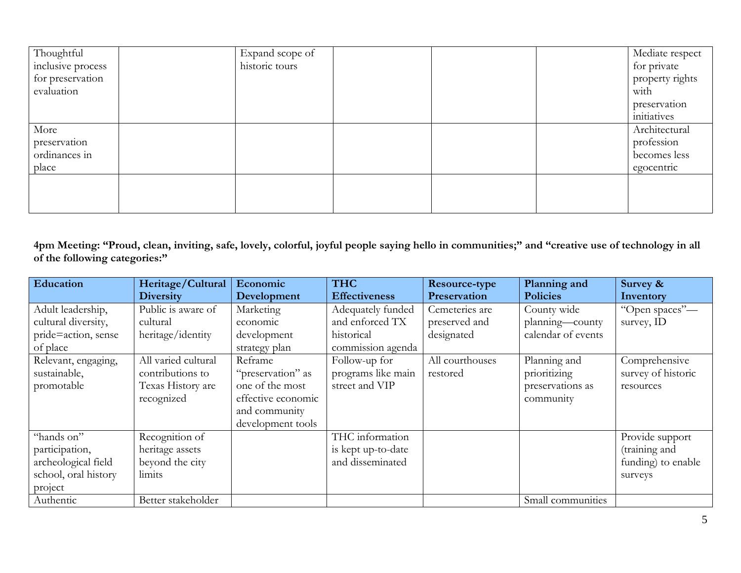| Thoughtful        | Expand scope of |  | Mediate respect |
|-------------------|-----------------|--|-----------------|
| inclusive process | historic tours  |  | for private     |
| for preservation  |                 |  | property rights |
| evaluation        |                 |  | with            |
|                   |                 |  | preservation    |
|                   |                 |  | initiatives     |
| More              |                 |  | Architectural   |
| preservation      |                 |  | profession      |
| ordinances in     |                 |  | becomes less    |
| place             |                 |  | egocentric      |
|                   |                 |  |                 |
|                   |                 |  |                 |
|                   |                 |  |                 |

**4pm Meeting: "Proud, clean, inviting, safe, lovely, colorful, joyful people saying hello in communities;" and "creative use of technology in all of the following categories:"**

| Education            | Heritage/Cultural   | Economic           | <b>THC</b>           | Resource-type   | Planning and       | Survey &           |
|----------------------|---------------------|--------------------|----------------------|-----------------|--------------------|--------------------|
|                      | <b>Diversity</b>    | Development        | <b>Effectiveness</b> | Preservation    | <b>Policies</b>    | Inventory          |
| Adult leadership,    | Public is aware of  | Marketing          | Adequately funded    | Cemeteries are  | County wide        | "Open spaces"-     |
| cultural diversity,  | cultural            | economic           | and enforced TX      | preserved and   | planning-county    | survey, ID         |
| pride=action, sense  | heritage/identity   | development        | historical           | designated      | calendar of events |                    |
| of place             |                     | strategy plan      | commission agenda    |                 |                    |                    |
| Relevant, engaging,  | All varied cultural | Reframe            | Follow-up for        | All courthouses | Planning and       | Comprehensive      |
| sustainable,         | contributions to    | "preservation" as  | programs like main   | restored        | prioritizing       | survey of historic |
| promotable           | Texas History are   | one of the most    | street and VIP       |                 | preservations as   | resources          |
|                      | recognized          | effective economic |                      |                 | community          |                    |
|                      |                     | and community      |                      |                 |                    |                    |
|                      |                     | development tools  |                      |                 |                    |                    |
| "hands on"           | Recognition of      |                    | THC information      |                 |                    | Provide support    |
| participation,       | heritage assets     |                    | is kept up-to-date   |                 |                    | (training and      |
| archeological field  | beyond the city     |                    | and disseminated     |                 |                    | funding) to enable |
| school, oral history | limits              |                    |                      |                 |                    | surveys            |
| project              |                     |                    |                      |                 |                    |                    |
| Authentic            | Better stakeholder  |                    |                      |                 | Small communities  |                    |